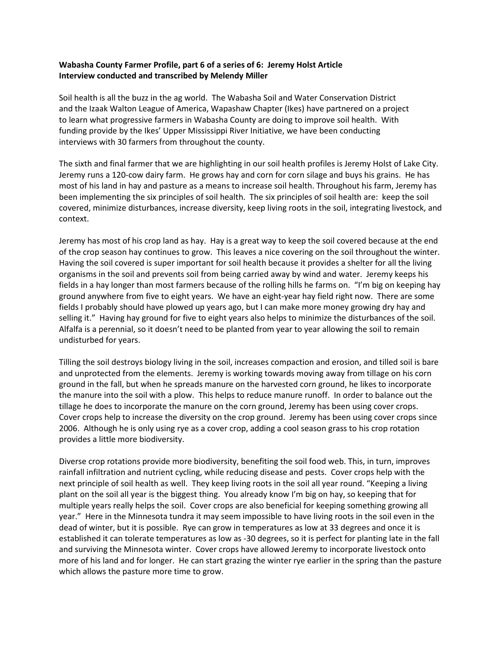## **Wabasha County Farmer Profile, part 6 of a series of 6: Jeremy Holst Article Interview conducted and transcribed by Melendy Miller**

Soil health is all the buzz in the ag world. The Wabasha Soil and Water Conservation District and the Izaak Walton League of America, Wapashaw Chapter (Ikes) have partnered on a project to learn what progressive farmers in Wabasha County are doing to improve soil health. With funding provide by the Ikes' Upper Mississippi River Initiative, we have been conducting interviews with 30 farmers from throughout the county.

The sixth and final farmer that we are highlighting in our soil health profiles is Jeremy Holst of Lake City. Jeremy runs a 120-cow dairy farm. He grows hay and corn for corn silage and buys his grains. He has most of his land in hay and pasture as a means to increase soil health. Throughout his farm, Jeremy has been implementing the six principles of soil health. The six principles of soil health are: keep the soil covered, minimize disturbances, increase diversity, keep living roots in the soil, integrating livestock, and context.

Jeremy has most of his crop land as hay. Hay is a great way to keep the soil covered because at the end of the crop season hay continues to grow. This leaves a nice covering on the soil throughout the winter. Having the soil covered is super important for soil health because it provides a shelter for all the living organisms in the soil and prevents soil from being carried away by wind and water. Jeremy keeps his fields in a hay longer than most farmers because of the rolling hills he farms on. "I'm big on keeping hay ground anywhere from five to eight years. We have an eight-year hay field right now. There are some fields I probably should have plowed up years ago, but I can make more money growing dry hay and selling it." Having hay ground for five to eight years also helps to minimize the disturbances of the soil. Alfalfa is a perennial, so it doesn't need to be planted from year to year allowing the soil to remain undisturbed for years.

Tilling the soil destroys biology living in the soil, increases compaction and erosion, and tilled soil is bare and unprotected from the elements. Jeremy is working towards moving away from tillage on his corn ground in the fall, but when he spreads manure on the harvested corn ground, he likes to incorporate the manure into the soil with a plow. This helps to reduce manure runoff. In order to balance out the tillage he does to incorporate the manure on the corn ground, Jeremy has been using cover crops. Cover crops help to increase the diversity on the crop ground. Jeremy has been using cover crops since 2006. Although he is only using rye as a cover crop, adding a cool season grass to his crop rotation provides a little more biodiversity.

Diverse crop rotations provide more biodiversity, benefiting the soil food web. This, in turn, improves rainfall infiltration and nutrient cycling, while reducing disease and pests. Cover crops help with the next principle of soil health as well. They keep living roots in the soil all year round. "Keeping a living plant on the soil all year is the biggest thing. You already know I'm big on hay, so keeping that for multiple years really helps the soil. Cover crops are also beneficial for keeping something growing all year." Here in the Minnesota tundra it may seem impossible to have living roots in the soil even in the dead of winter, but it is possible. Rye can grow in temperatures as low at 33 degrees and once it is established it can tolerate temperatures as low as -30 degrees, so it is perfect for planting late in the fall and surviving the Minnesota winter. Cover crops have allowed Jeremy to incorporate livestock onto more of his land and for longer. He can start grazing the winter rye earlier in the spring than the pasture which allows the pasture more time to grow.